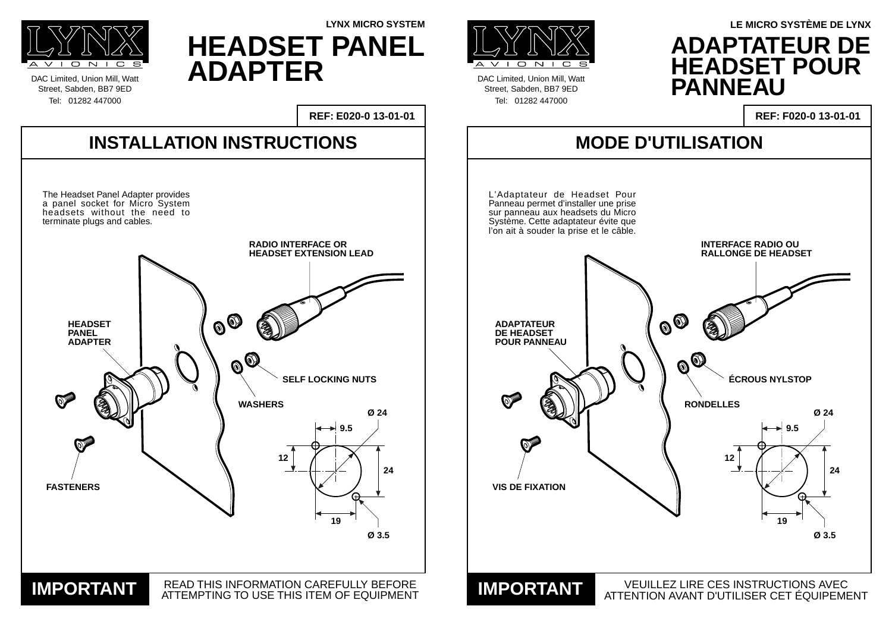Street, Sabden, BB7 9ED





DAC Limited, Union Mill, Watt Street, Sabden, BB7 9ED Tel: 01282 447000

**LYNX MICRO SYSTEM**



**ADAPTATEUR DE**

**LE MICRO SYSTÈME DE LYNX**

**HEADSET PANEL ADAPTER**